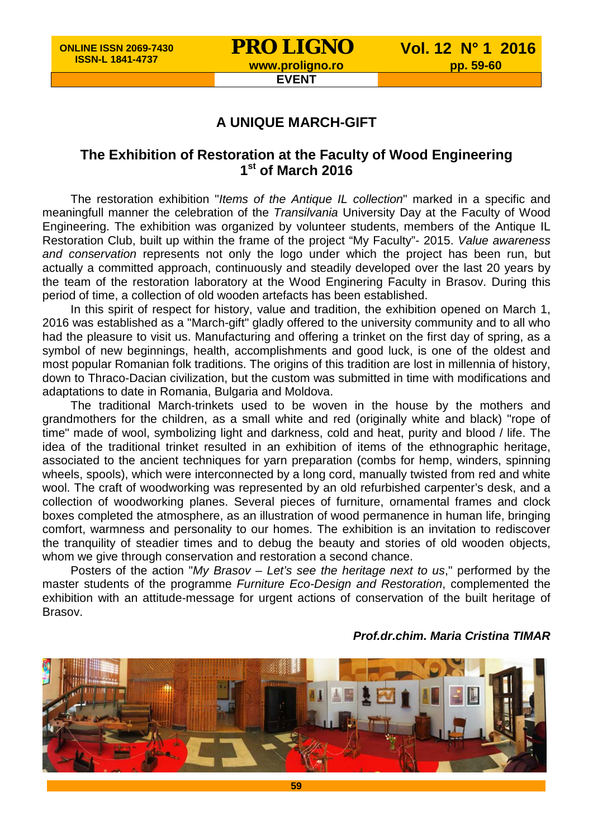#### **EVENT**

### **A UNIQUE MARCH-GIFT**

## **The Exhibition of Restoration at the Faculty of Wood Engineering 1st of March 2016**

The restoration exhibition "*Items of the Antique IL collection*" marked in a specific and meaningfull manner the celebration of the *Transilvania* University Day at the Faculty of Wood Engineering. The exhibition was organized by volunteer students, members of the Antique IL Restoration Club, built up within the frame of the project "My Faculty"- 2015. *Value awareness and conservation* represents not only the logo under which the project has been run, but actually a committed approach, continuously and steadily developed over the last 20 years by the team of the restoration laboratory at the Wood Enginering Faculty in Brasov. During this period of time, a collection of old wooden artefacts has been established.

In this spirit of respect for history, value and tradition, the exhibition opened on March 1, 2016 was established as a "March-gift" gladly offered to the university community and to all who had the pleasure to visit us. Manufacturing and offering a trinket on the first day of spring, as a symbol of new beginnings, health, accomplishments and good luck, is one of the oldest and most popular Romanian folk traditions. The origins of this tradition are lost in millennia of history, down to Thraco-Dacian civilization, but the custom was submitted in time with modifications and adaptations to date in Romania, Bulgaria and Moldova.

The traditional March-trinkets used to be woven in the house by the mothers and grandmothers for the children, as a small white and red (originally white and black) "rope of time" made of wool, symbolizing light and darkness, cold and heat, purity and blood / life. The idea of the traditional trinket resulted in an exhibition of items of the ethnographic heritage, associated to the ancient techniques for yarn preparation (combs for hemp, winders, spinning wheels, spools), which were interconnected by a long cord, manually twisted from red and white wool. The craft of woodworking was represented by an old refurbished carpenter's desk, and a collection of woodworking planes. Several pieces of furniture, ornamental frames and clock boxes completed the atmosphere, as an illustration of wood permanence in human life, bringing comfort, warmness and personality to our homes. The exhibition is an invitation to rediscover the tranquility of steadier times and to debug the beauty and stories of old wooden objects, whom we give through conservation and restoration a second chance.

Posters of the action "*My Brasov – Let's see the heritage next to us*," performed by the master students of the programme *Furniture Eco-Design and Restoration*, complemented the exhibition with an attitude-message for urgent actions of conservation of the built heritage of Brasov.



#### *Prof.dr.chim. Maria Cristina TIMAR*